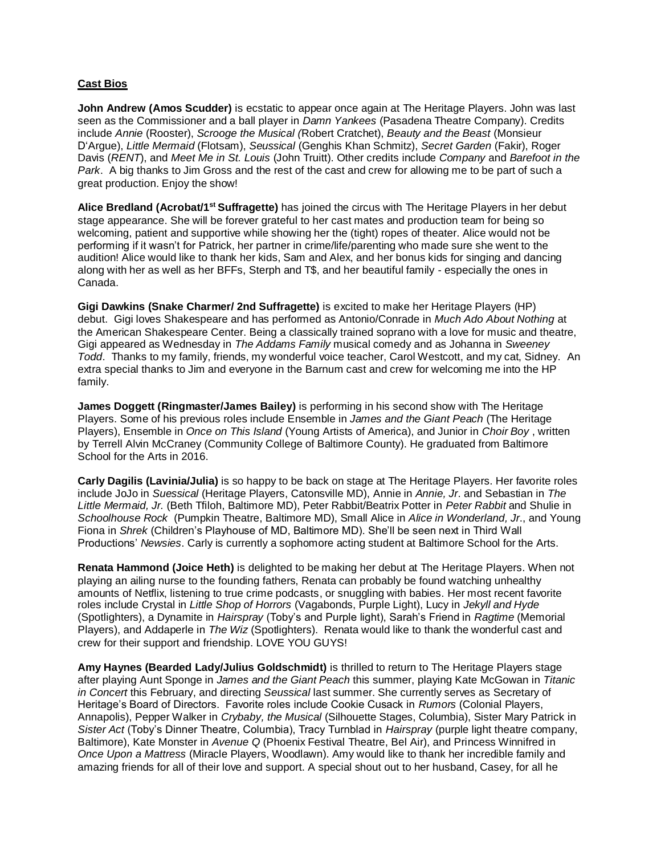## **Cast Bios**

**John Andrew (Amos Scudder)** is ecstatic to appear once again at The Heritage Players. John was last seen as the Commissioner and a ball player in *Damn Yankees* (Pasadena Theatre Company). Credits include *Annie* (Rooster), *Scrooge the Musical (*Robert Cratchet), *Beauty and the Beast* (Monsieur D'Argue), *Little Mermaid* (Flotsam), *Seussical* (Genghis Khan Schmitz), *Secret Garden* (Fakir), Roger Davis (*RENT*), and *Meet Me in St. Louis* (John Truitt). Other credits include *Company* and *Barefoot in the Park*. A big thanks to Jim Gross and the rest of the cast and crew for allowing me to be part of such a great production. Enjoy the show!

**Alice Bredland (Acrobat/1st Suffragette)** has joined the circus with The Heritage Players in her debut stage appearance. She will be forever grateful to her cast mates and production team for being so welcoming, patient and supportive while showing her the (tight) ropes of theater. Alice would not be performing if it wasn't for Patrick, her partner in crime/life/parenting who made sure she went to the audition! Alice would like to thank her kids, Sam and Alex, and her bonus kids for singing and dancing along with her as well as her BFFs, Sterph and T\$, and her beautiful family - especially the ones in Canada.

**Gigi Dawkins (Snake Charmer/ 2nd Suffragette)** is excited to make her Heritage Players (HP) debut. Gigi loves Shakespeare and has performed as Antonio/Conrade in *Much Ado About Nothing* at the American Shakespeare Center. Being a classically trained soprano with a love for music and theatre, Gigi appeared as Wednesday in *The Addams Family* musical comedy and as Johanna in *Sweeney Todd*. Thanks to my family, friends, my wonderful voice teacher, Carol Westcott, and my cat, Sidney. An extra special thanks to Jim and everyone in the Barnum cast and crew for welcoming me into the HP family.

**James Doggett (Ringmaster/James Bailey)** is performing in his second show with The Heritage Players. Some of his previous roles include Ensemble in *James and the Giant Peach* (The Heritage Players), Ensemble in *Once on This Island* (Young Artists of America), and Junior in *Choir Boy* , written by Terrell Alvin McCraney (Community College of Baltimore County). He graduated from Baltimore School for the Arts in 2016.

**Carly Dagilis (Lavinia/Julia)** is so happy to be back on stage at The Heritage Players. Her favorite roles include JoJo in *Suessical* (Heritage Players, Catonsville MD), Annie in *Annie, Jr*. and Sebastian in *The Little Mermaid, Jr.* (Beth Tfiloh, Baltimore MD), Peter Rabbit/Beatrix Potter in *Peter Rabbit* and Shulie in *Schoolhouse Rock* (Pumpkin Theatre, Baltimore MD), Small Alice in *Alice in Wonderland, Jr*., and Young Fiona in *Shrek* (Children's Playhouse of MD, Baltimore MD). She'll be seen next in Third Wall Productions' *Newsies*. Carly is currently a sophomore acting student at Baltimore School for the Arts.

**Renata Hammond (Joice Heth)** is delighted to be making her debut at The Heritage Players. When not playing an ailing nurse to the founding fathers, Renata can probably be found watching unhealthy amounts of Netflix, listening to true crime podcasts, or snuggling with babies. Her most recent favorite roles include Crystal in *Little Shop of Horrors* (Vagabonds, Purple Light), Lucy in *Jekyll and Hyde* (Spotlighters), a Dynamite in *Hairspray* (Toby's and Purple light), Sarah's Friend in *Ragtime* (Memorial Players), and Addaperle in *The Wiz* (Spotlighters). Renata would like to thank the wonderful cast and crew for their support and friendship. LOVE YOU GUYS!

**Amy Haynes (Bearded Lady/Julius Goldschmidt)** is thrilled to return to The Heritage Players stage after playing Aunt Sponge in *James and the Giant Peach* this summer, playing Kate McGowan in *Titanic in Concert* this February, and directing *Seussical* last summer. She currently serves as Secretary of Heritage's Board of Directors. Favorite roles include Cookie Cusack in *Rumors* (Colonial Players, Annapolis), Pepper Walker in *Crybaby, the Musical* (Silhouette Stages, Columbia), Sister Mary Patrick in *Sister Act* (Toby's Dinner Theatre, Columbia), Tracy Turnblad in *Hairspray* (purple light theatre company, Baltimore), Kate Monster in *Avenue Q* (Phoenix Festival Theatre, Bel Air), and Princess Winnifred in *Once Upon a Mattress* (Miracle Players, Woodlawn). Amy would like to thank her incredible family and amazing friends for all of their love and support. A special shout out to her husband, Casey, for all he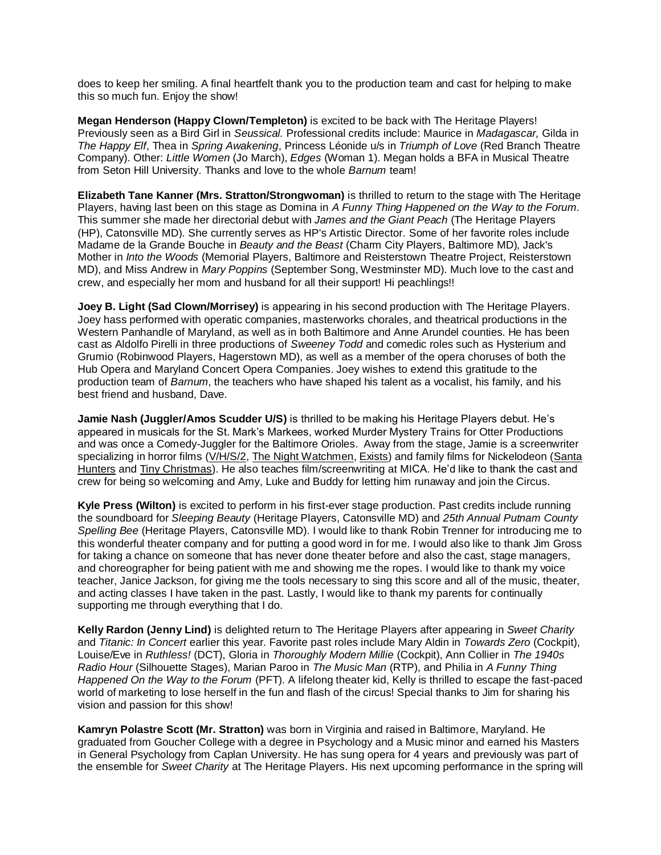does to keep her smiling. A final heartfelt thank you to the production team and cast for helping to make this so much fun. Enjoy the show!

**Megan Henderson (Happy Clown/Templeton)** is excited to be back with The Heritage Players! Previously seen as a Bird Girl in *Seussical.* Professional credits include: Maurice in *Madagascar,* Gilda in *The Happy Elf*, Thea in *Spring Awakening*, Princess Léonide u/s in *Triumph of Love* (Red Branch Theatre Company). Other: *Little Women* (Jo March), *Edges* (Woman 1). Megan holds a BFA in Musical Theatre from Seton Hill University. Thanks and love to the whole *Barnum* team!

**Elizabeth Tane Kanner (Mrs. Stratton/Strongwoman)** is thrilled to return to the stage with The Heritage Players, having last been on this stage as Domina in *A Funny Thing Happened on the Way to the Forum.* This summer she made her directorial debut with *James and the Giant Peach* (The Heritage Players (HP), Catonsville MD). She currently serves as HP's Artistic Director. Some of her favorite roles include Madame de la Grande Bouche in *Beauty and the Beast* (Charm City Players, Baltimore MD), Jack's Mother in *Into the Woods* (Memorial Players, Baltimore and Reisterstown Theatre Project, Reisterstown MD), and Miss Andrew in *Mary Poppins* (September Song, Westminster MD). Much love to the cast and crew, and especially her mom and husband for all their support! Hi peachlings!!

**Joey B. Light (Sad Clown/Morrisey)** is appearing in his second production with The Heritage Players. Joey hass performed with operatic companies, masterworks chorales, and theatrical productions in the Western Panhandle of Maryland, as well as in both Baltimore and Anne Arundel counties. He has been cast as Aldolfo Pirelli in three productions of *Sweeney Todd* and comedic roles such as Hysterium and Grumio (Robinwood Players, Hagerstown MD), as well as a member of the opera choruses of both the Hub Opera and Maryland Concert Opera Companies. Joey wishes to extend this gratitude to the production team of *Barnum*, the teachers who have shaped his talent as a vocalist, his family, and his best friend and husband, Dave.

**Jamie Nash (Juggler/Amos Scudder U/S)** is thrilled to be making his Heritage Players debut. He's appeared in musicals for the St. Mark's Markees, worked Murder Mystery Trains for Otter Productions and was once a Comedy-Juggler for the Baltimore Orioles. Away from the stage, Jamie is a screenwriter specializing in horror films (V/H/S/2, The Night Watchmen, Exists) and family films for Nickelodeon (Santa Hunters and Tiny Christmas). He also teaches film/screenwriting at MICA. He'd like to thank the cast and crew for being so welcoming and Amy, Luke and Buddy for letting him runaway and join the Circus.

**Kyle Press (Wilton)** is excited to perform in his first-ever stage production. Past credits include running the soundboard for *Sleeping Beauty* (Heritage Players, Catonsville MD) and *25th Annual Putnam County Spelling Bee* (Heritage Players, Catonsville MD). I would like to thank Robin Trenner for introducing me to this wonderful theater company and for putting a good word in for me. I would also like to thank Jim Gross for taking a chance on someone that has never done theater before and also the cast, stage managers, and choreographer for being patient with me and showing me the ropes. I would like to thank my voice teacher, Janice Jackson, for giving me the tools necessary to sing this score and all of the music, theater, and acting classes I have taken in the past. Lastly, I would like to thank my parents for continually supporting me through everything that I do.

**Kelly Rardon (Jenny Lind)** is delighted return to The Heritage Players after appearing in *Sweet Charity* and *Titanic: In Concert* earlier this year. Favorite past roles include Mary Aldin in *Towards Zero* (Cockpit), Louise/Eve in *Ruthless!* (DCT), Gloria in *Thoroughly Modern Millie* (Cockpit), Ann Collier in *The 1940s Radio Hour* (Silhouette Stages), Marian Paroo in *The Music Man* (RTP), and Philia in *A Funny Thing Happened On the Way to the Forum* (PFT). A lifelong theater kid, Kelly is thrilled to escape the fast-paced world of marketing to lose herself in the fun and flash of the circus! Special thanks to Jim for sharing his vision and passion for this show!

**Kamryn Polastre Scott (Mr. Stratton)** was born in Virginia and raised in Baltimore, Maryland. He graduated from Goucher College with a degree in Psychology and a Music minor and earned his Masters in General Psychology from Caplan University. He has sung opera for 4 years and previously was part of the ensemble for *Sweet Charity* at The Heritage Players. His next upcoming performance in the spring will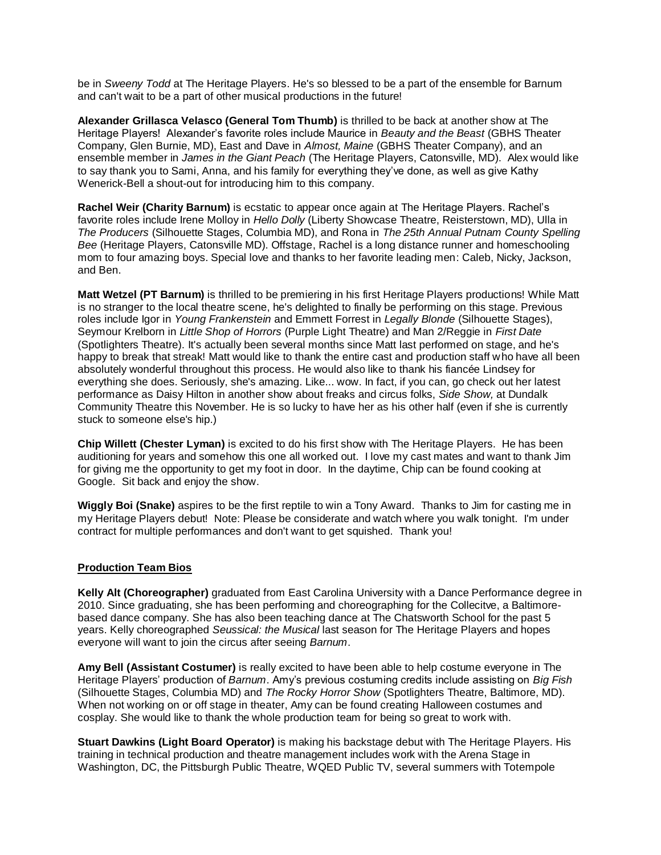be in *Sweeny Todd* at The Heritage Players. He's so blessed to be a part of the ensemble for Barnum and can't wait to be a part of other musical productions in the future!

**Alexander Grillasca Velasco (General Tom Thumb)** is thrilled to be back at another show at The Heritage Players! Alexander's favorite roles include Maurice in *Beauty and the Beast* (GBHS Theater Company, Glen Burnie, MD), East and Dave in *Almost, Maine* (GBHS Theater Company), and an ensemble member in *James in the Giant Peach* (The Heritage Players, Catonsville, MD). Alex would like to say thank you to Sami, Anna, and his family for everything they've done, as well as give Kathy Wenerick-Bell a shout-out for introducing him to this company.

**Rachel Weir (Charity Barnum)** is ecstatic to appear once again at The Heritage Players. Rachel's favorite roles include Irene Molloy in *Hello Dolly* (Liberty Showcase Theatre, Reisterstown, MD), Ulla in *The Producers* (Silhouette Stages, Columbia MD), and Rona in *The 25th Annual Putnam County Spelling Bee* (Heritage Players, Catonsville MD). Offstage, Rachel is a long distance runner and homeschooling mom to four amazing boys. Special love and thanks to her favorite leading men: Caleb, Nicky, Jackson, and Ben.

**Matt Wetzel (PT Barnum)** is thrilled to be premiering in his first Heritage Players productions! While Matt is no stranger to the local theatre scene, he's delighted to finally be performing on this stage. Previous roles include Igor in *Young Frankenstein* and Emmett Forrest in *Legally Blonde* (Silhouette Stages), Seymour Krelborn in *Little Shop of Horrors* (Purple Light Theatre) and Man 2/Reggie in *First Date*  (Spotlighters Theatre). It's actually been several months since Matt last performed on stage, and he's happy to break that streak! Matt would like to thank the entire cast and production staff who have all been absolutely wonderful throughout this process. He would also like to thank his fiancée Lindsey for everything she does. Seriously, she's amazing. Like... wow. In fact, if you can, go check out her latest performance as Daisy Hilton in another show about freaks and circus folks, *Side Show,* at Dundalk Community Theatre this November. He is so lucky to have her as his other half (even if she is currently stuck to someone else's hip.)

**Chip Willett (Chester Lyman)** is excited to do his first show with The Heritage Players. He has been auditioning for years and somehow this one all worked out. I love my cast mates and want to thank Jim for giving me the opportunity to get my foot in door. In the daytime, Chip can be found cooking at Google. Sit back and enjoy the show.

**Wiggly Boi (Snake)** aspires to be the first reptile to win a Tony Award. Thanks to Jim for casting me in my Heritage Players debut! Note: Please be considerate and watch where you walk tonight. I'm under contract for multiple performances and don't want to get squished. Thank you!

## **Production Team Bios**

**Kelly Alt (Choreographer)** graduated from East Carolina University with a Dance Performance degree in 2010. Since graduating, she has been performing and choreographing for the Collecitve, a Baltimorebased dance company. She has also been teaching dance at The Chatsworth School for the past 5 years. Kelly choreographed *Seussical: the Musical* last season for The Heritage Players and hopes everyone will want to join the circus after seeing *Barnum*.

**Amy Bell (Assistant Costumer)** is really excited to have been able to help costume everyone in The Heritage Players' production of *Barnum*. Amy's previous costuming credits include assisting on *Big Fish* (Silhouette Stages, Columbia MD) and *The Rocky Horror Show* (Spotlighters Theatre, Baltimore, MD). When not working on or off stage in theater, Amy can be found creating Halloween costumes and cosplay. She would like to thank the whole production team for being so great to work with.

**Stuart Dawkins (Light Board Operator)** is making his backstage debut with The Heritage Players. His training in technical production and theatre management includes work with the Arena Stage in Washington, DC, the Pittsburgh Public Theatre, WQED Public TV, several summers with Totempole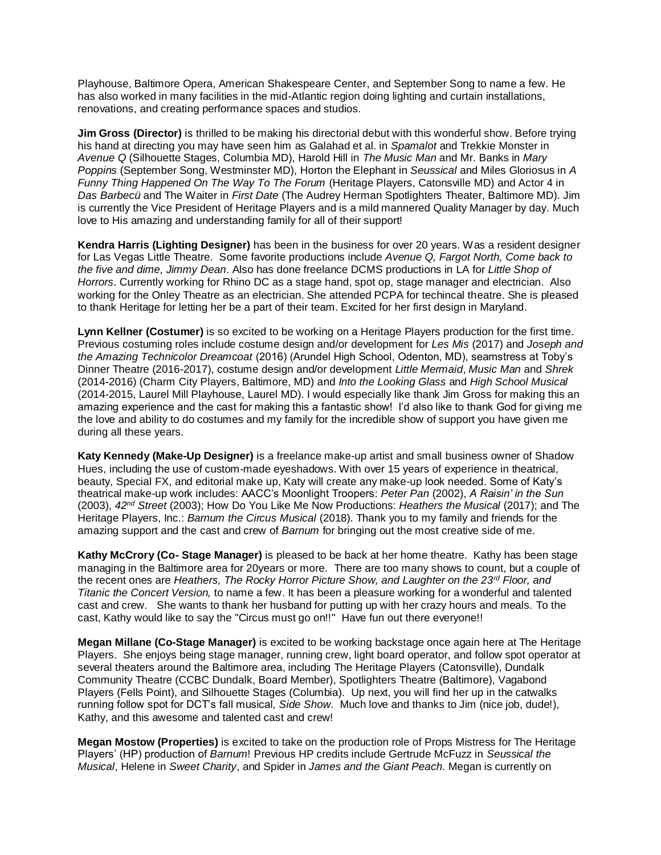Playhouse, Baltimore Opera, American Shakespeare Center, and September Song to name a few. He has also worked in many facilities in the mid-Atlantic region doing lighting and curtain installations, renovations, and creating performance spaces and studios.

**Jim Gross (Director)** is thrilled to be making his directorial debut with this wonderful show. Before trying his hand at directing you may have seen him as Galahad et al. in *Spamalot* and Trekkie Monster in *Avenue Q* (Silhouette Stages, Columbia MD), Harold Hill in *The Music Man* and Mr. Banks in *Mary Poppins* (September Song, Westminster MD), Horton the Elephant in *Seussical* and Miles Gloriosus in *A Funny Thing Happened On The Way To The Forum* (Heritage Players, Catonsville MD) and Actor 4 in *Das Barbecü* and The Waiter in *First Date* (The Audrey Herman Spotlighters Theater, Baltimore MD). Jim is currently the Vice President of Heritage Players and is a mild mannered Quality Manager by day. Much love to His amazing and understanding family for all of their support!

**Kendra Harris (Lighting Designer)** has been in the business for over 20 years. Was a resident designer for Las Vegas Little Theatre. Some favorite productions include *Avenue Q, Fargot North, Come back to the five and dime, Jimmy Dean*. Also has done freelance DCMS productions in LA for *Little Shop of Horrors*. Currently working for Rhino DC as a stage hand, spot op, stage manager and electrician. Also working for the Onley Theatre as an electrician. She attended PCPA for techincal theatre. She is pleased to thank Heritage for letting her be a part of their team. Excited for her first design in Maryland.

**Lynn Kellner (Costumer)** is so excited to be working on a Heritage Players production for the first time. Previous costuming roles include costume design and/or development for *Les Mis* (2017) and *Joseph and the Amazing Technicolor Dreamcoat* (2016) (Arundel High School, Odenton, MD), seamstress at Toby's Dinner Theatre (2016-2017), costume design and/or development *Little Mermaid*, *Music Man* and *Shrek* (2014-2016) (Charm City Players, Baltimore, MD) and *Into the Looking Glass* and *High School Musical* (2014-2015, Laurel Mill Playhouse, Laurel MD). I would especially like thank Jim Gross for making this an amazing experience and the cast for making this a fantastic show! I'd also like to thank God for giving me the love and ability to do costumes and my family for the incredible show of support you have given me during all these years.

**Katy Kennedy (Make-Up Designer)** is a freelance make-up artist and small business owner of Shadow Hues, including the use of custom-made eyeshadows. With over 15 years of experience in theatrical, beauty, Special FX, and editorial make up, Katy will create any make-up look needed. Some of Katy's theatrical make-up work includes: AACC's Moonlight Troopers: *Peter Pan* (2002), *A Raisin' in the Sun* (2003), *42nd Street* (2003); How Do You Like Me Now Productions: *Heathers the Musical* (2017); and The Heritage Players, Inc.: *Barnum the Circus Musical* (2018). Thank you to my family and friends for the amazing support and the cast and crew of *Barnum* for bringing out the most creative side of me.

**Kathy McCrory (Co- Stage Manager)** is pleased to be back at her home theatre. Kathy has been stage managing in the Baltimore area for 20years or more. There are too many shows to count, but a couple of the recent ones are *Heathers, The Rocky Horror Picture Show, and Laughter on the 23rd Floor, and Titanic the Concert Version,* to name a few. It has been a pleasure working for a wonderful and talented cast and crew. She wants to thank her husband for putting up with her crazy hours and meals. To the cast, Kathy would like to say the "Circus must go on!!" Have fun out there everyone!!

**Megan Millane (Co-Stage Manager)** is excited to be working backstage once again here at The Heritage Players. She enjoys being stage manager, running crew, light board operator, and follow spot operator at several theaters around the Baltimore area, including The Heritage Players (Catonsville), Dundalk Community Theatre (CCBC Dundalk, Board Member), Spotlighters Theatre (Baltimore), Vagabond Players (Fells Point), and Silhouette Stages (Columbia). Up next, you will find her up in the catwalks running follow spot for DCT's fall musical, *Side Show.* Much love and thanks to Jim (nice job, dude!), Kathy, and this awesome and talented cast and crew!

**Megan Mostow (Properties)** is excited to take on the production role of Props Mistress for The Heritage Players' (HP) production of *Barnum*! Previous HP credits include Gertrude McFuzz in *Seussical the Musical*, Helene in *Sweet Charity*, and Spider in *James and the Giant Peach*. Megan is currently on